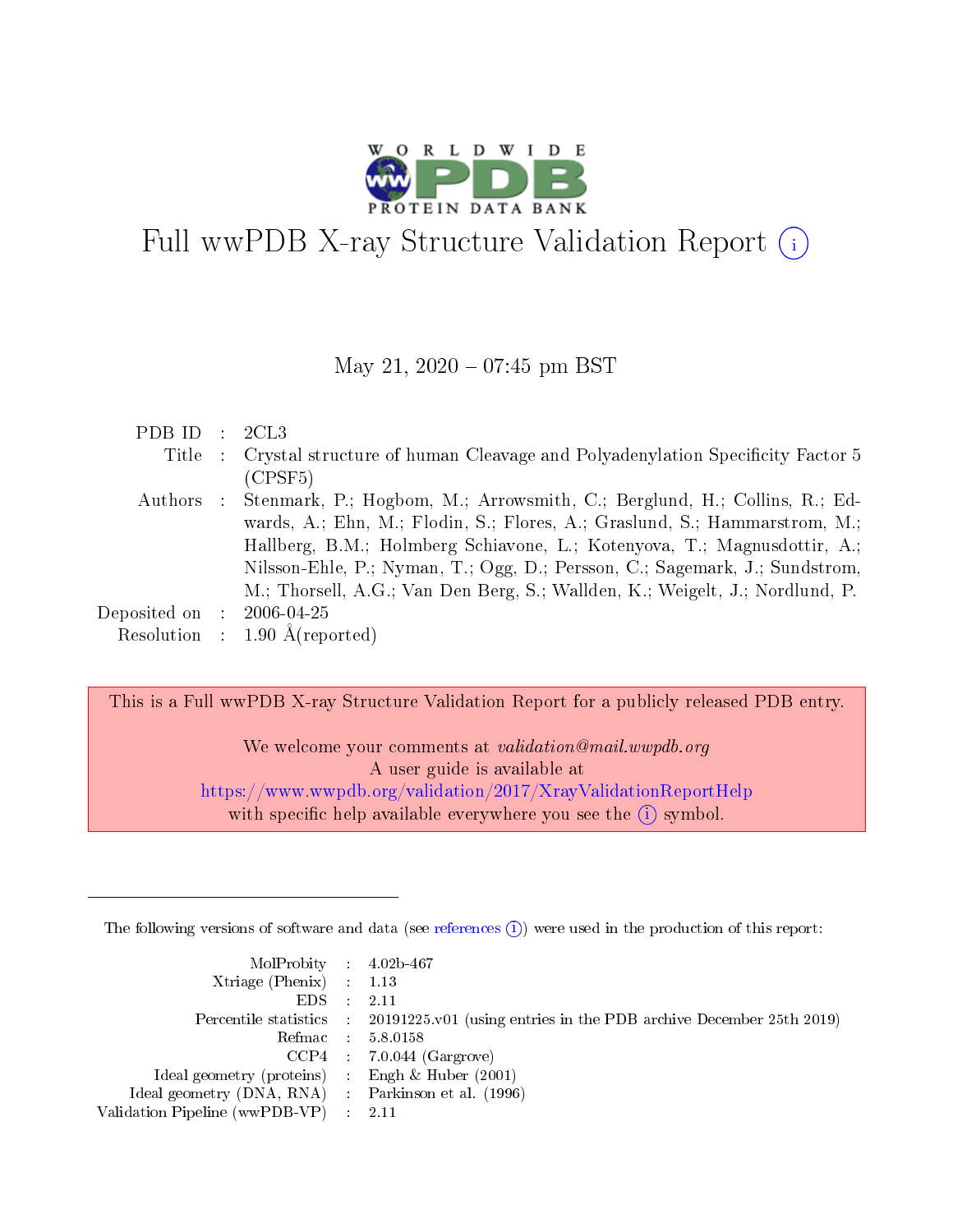

# Full wwPDB X-ray Structure Validation Report  $(i)$

#### May 21,  $2020 - 07:45$  pm BST

| PDBID : 2CL3                 |                                                                                      |
|------------------------------|--------------------------------------------------------------------------------------|
|                              | Title : Crystal structure of human Cleavage and Polyadenylation Specificity Factor 5 |
|                              | (CPSF5)                                                                              |
| Authors :                    | Stenmark, P.; Hogbom, M.; Arrowsmith, C.; Berglund, H.; Collins, R.; Ed-             |
|                              | wards, A.; Ehn, M.; Flodin, S.; Flores, A.; Graslund, S.; Hammarstrom, M.;           |
|                              | Hallberg, B.M.; Holmberg Schiavone, L.; Kotenyova, T.; Magnusdottir, A.;             |
|                              | Nilsson-Ehle, P.; Nyman, T.; Ogg, D.; Persson, C.; Sagemark, J.; Sundstrom,          |
|                              | M.; Thorsell, A.G.; Van Den Berg, S.; Wallden, K.; Weigelt, J.; Nordlund, P.         |
| $\rm Deposited\; on \quad :$ | $2006 - 04 - 25$                                                                     |
|                              | Resolution : $1.90 \text{ Å}$ (reported)                                             |

This is a Full wwPDB X-ray Structure Validation Report for a publicly released PDB entry.

We welcome your comments at validation@mail.wwpdb.org A user guide is available at <https://www.wwpdb.org/validation/2017/XrayValidationReportHelp> with specific help available everywhere you see the  $(i)$  symbol.

The following versions of software and data (see [references](https://www.wwpdb.org/validation/2017/XrayValidationReportHelp#references)  $(i)$ ) were used in the production of this report:

| MolProbity : $4.02b-467$<br>$Xtriangle (Phenix)$ : 1.13<br>EDS = | -2.11                                                                                      |
|------------------------------------------------------------------|--------------------------------------------------------------------------------------------|
|                                                                  | Percentile statistics : 20191225.v01 (using entries in the PDB archive December 25th 2019) |
|                                                                  | Refmac : 5.8.0158                                                                          |
|                                                                  | $CCP4$ : 7.0.044 (Gargrove)                                                                |
| Ideal geometry (proteins) : Engh $\&$ Huber (2001)               |                                                                                            |
| Ideal geometry (DNA, RNA) : Parkinson et al. (1996)              |                                                                                            |
| Validation Pipeline (wwPDB-VP) : 2.11                            |                                                                                            |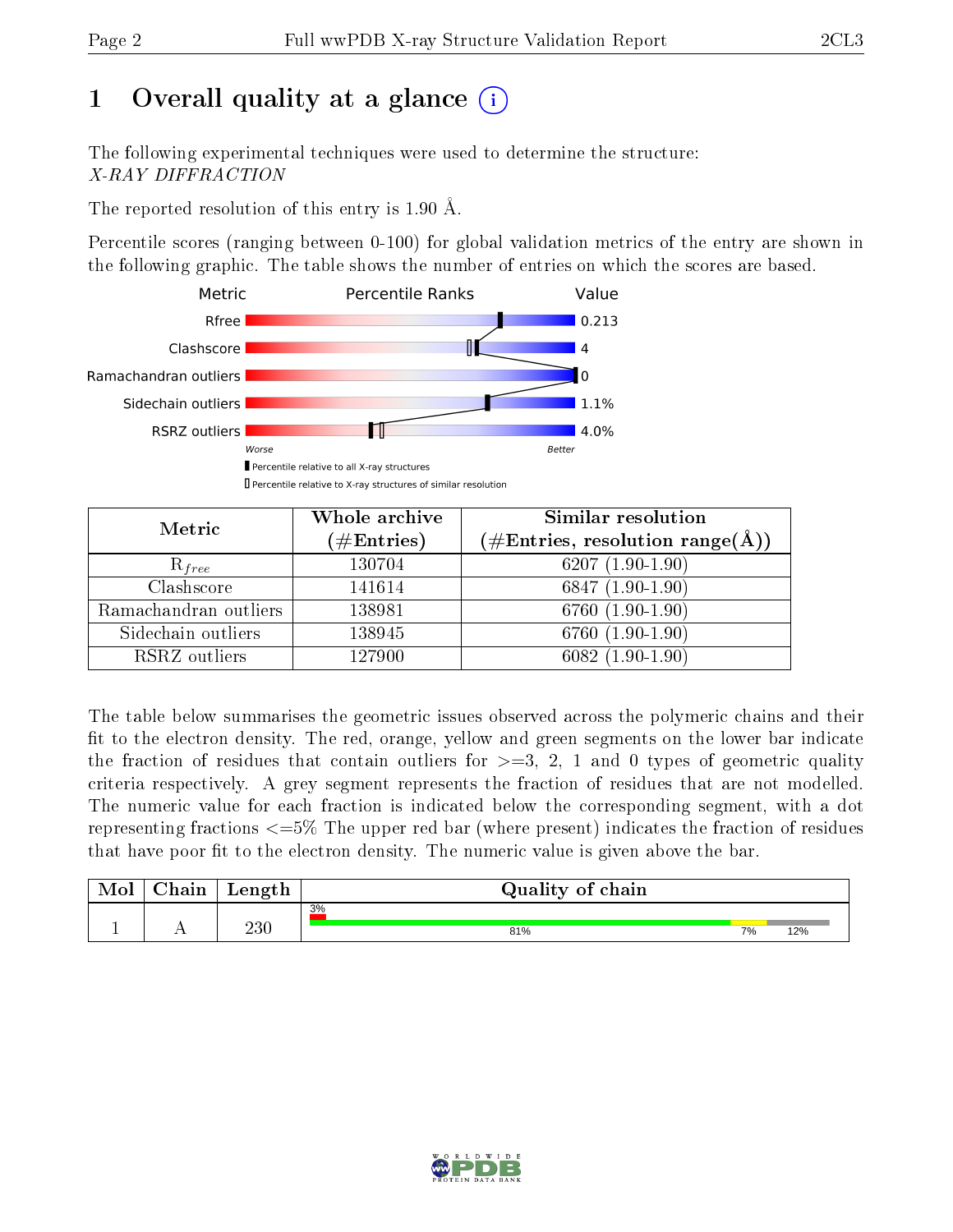# 1 [O](https://www.wwpdb.org/validation/2017/XrayValidationReportHelp#overall_quality)verall quality at a glance  $(i)$

The following experimental techniques were used to determine the structure: X-RAY DIFFRACTION

The reported resolution of this entry is 1.90 Å.

Percentile scores (ranging between 0-100) for global validation metrics of the entry are shown in the following graphic. The table shows the number of entries on which the scores are based.



| Metric                | Whole archive<br>$(\#\mathrm{Entries})$ | Similar resolution<br>$(\#\text{Entries}, \text{resolution range}(\text{\AA}))$ |  |  |
|-----------------------|-----------------------------------------|---------------------------------------------------------------------------------|--|--|
| $R_{free}$            | 130704                                  | $6207(1.90-1.90)$                                                               |  |  |
| Clashscore            | 141614                                  | $6847(1.90-1.90)$                                                               |  |  |
| Ramachandran outliers | 138981                                  | $6760(1.90-1.90)$                                                               |  |  |
| Sidechain outliers    | 138945                                  | 6760 (1.90-1.90)                                                                |  |  |
| RSRZ outliers         | 127900                                  | $6082(1.90-1.90)$                                                               |  |  |

The table below summarises the geometric issues observed across the polymeric chains and their fit to the electron density. The red, orange, yellow and green segments on the lower bar indicate the fraction of residues that contain outliers for  $>=3, 2, 1$  and 0 types of geometric quality criteria respectively. A grey segment represents the fraction of residues that are not modelled. The numeric value for each fraction is indicated below the corresponding segment, with a dot representing fractions  $\epsilon=5\%$  The upper red bar (where present) indicates the fraction of residues that have poor fit to the electron density. The numeric value is given above the bar.

| Mol | $\cap$ hain | Length  | Quality of chain |    |     |  |  |  |  |
|-----|-------------|---------|------------------|----|-----|--|--|--|--|
|     |             |         | 3%               |    |     |  |  |  |  |
|     |             | $230\,$ | 81%              | 7% | 12% |  |  |  |  |

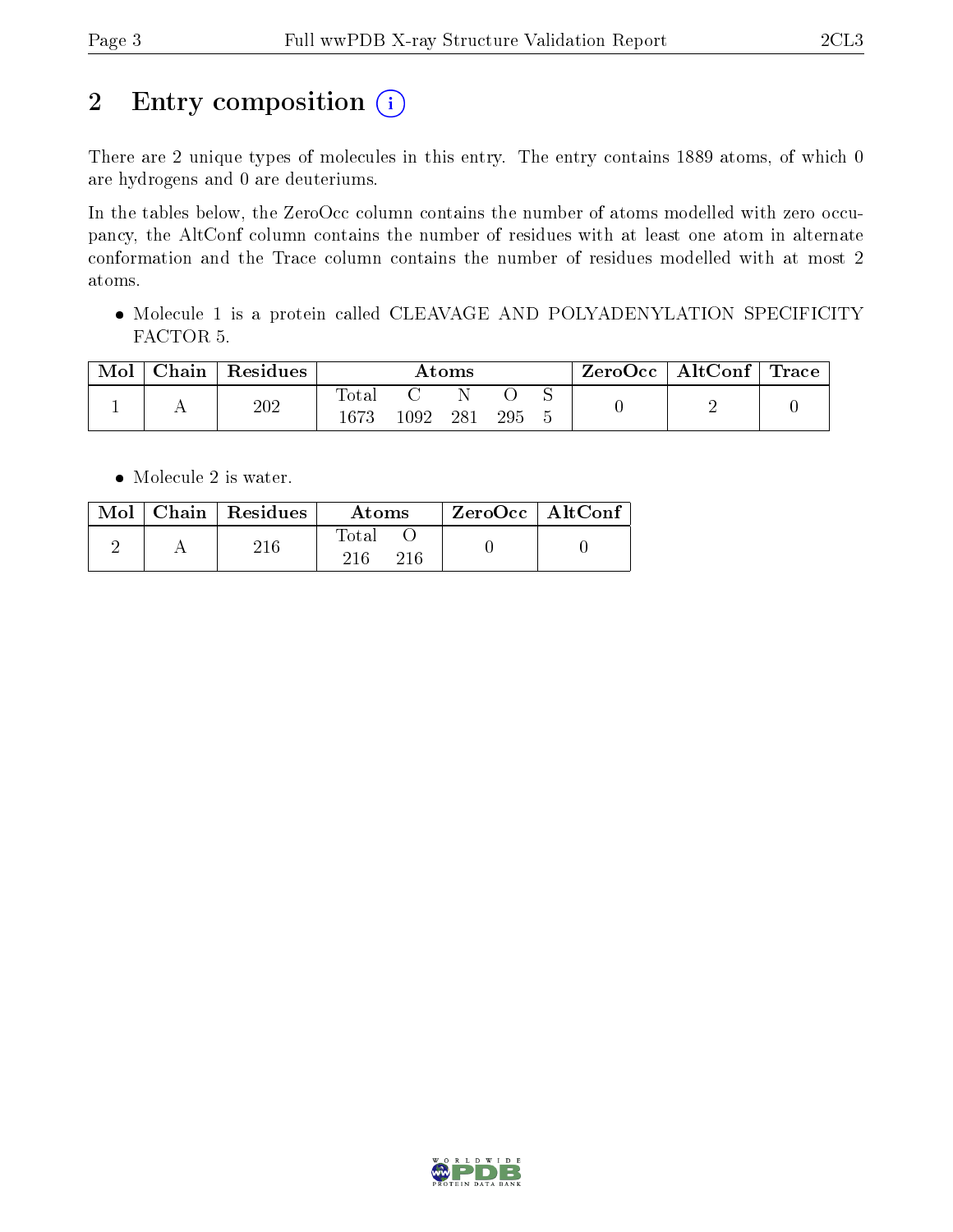# 2 Entry composition (i)

There are 2 unique types of molecules in this entry. The entry contains 1889 atoms, of which 0 are hydrogens and 0 are deuteriums.

In the tables below, the ZeroOcc column contains the number of atoms modelled with zero occupancy, the AltConf column contains the number of residues with at least one atom in alternate conformation and the Trace column contains the number of residues modelled with at most 2 atoms.

• Molecule 1 is a protein called CLEAVAGE AND POLYADENYLATION SPECIFICITY FACTOR 5.

| Mol | Chain | $\perp$ Residues | Atoms             |          |     |     |  | $\text{ZeroOcc}$   AltConf   Trace |  |
|-----|-------|------------------|-------------------|----------|-----|-----|--|------------------------------------|--|
|     |       | 202              | Total<br>$1673\,$ | $1092\,$ | 281 | 295 |  |                                    |  |

• Molecule 2 is water.

|  | $\text{Mol}$   Chain   Residues | Atoms        | $ZeroOcc$   AltConf |
|--|---------------------------------|--------------|---------------------|
|  | 216                             | Total<br>216 |                     |

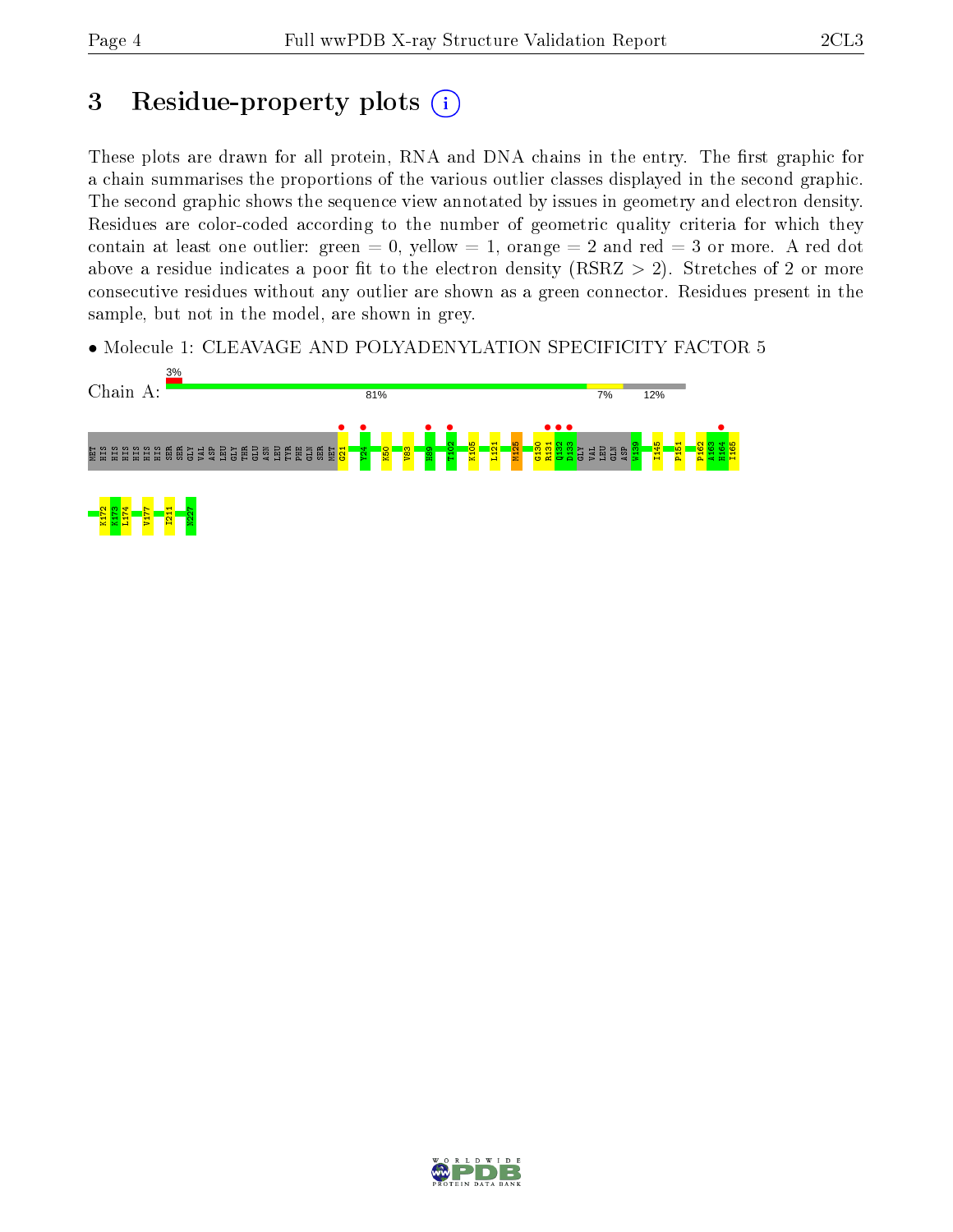## 3 Residue-property plots  $(i)$

These plots are drawn for all protein, RNA and DNA chains in the entry. The first graphic for a chain summarises the proportions of the various outlier classes displayed in the second graphic. The second graphic shows the sequence view annotated by issues in geometry and electron density. Residues are color-coded according to the number of geometric quality criteria for which they contain at least one outlier: green  $= 0$ , yellow  $= 1$ , orange  $= 2$  and red  $= 3$  or more. A red dot above a residue indicates a poor fit to the electron density (RSRZ  $> 2$ ). Stretches of 2 or more consecutive residues without any outlier are shown as a green connector. Residues present in the sample, but not in the model, are shown in grey.

• Molecule 1: CLEAVAGE AND POLYADENYLATION SPECIFICITY FACTOR 5



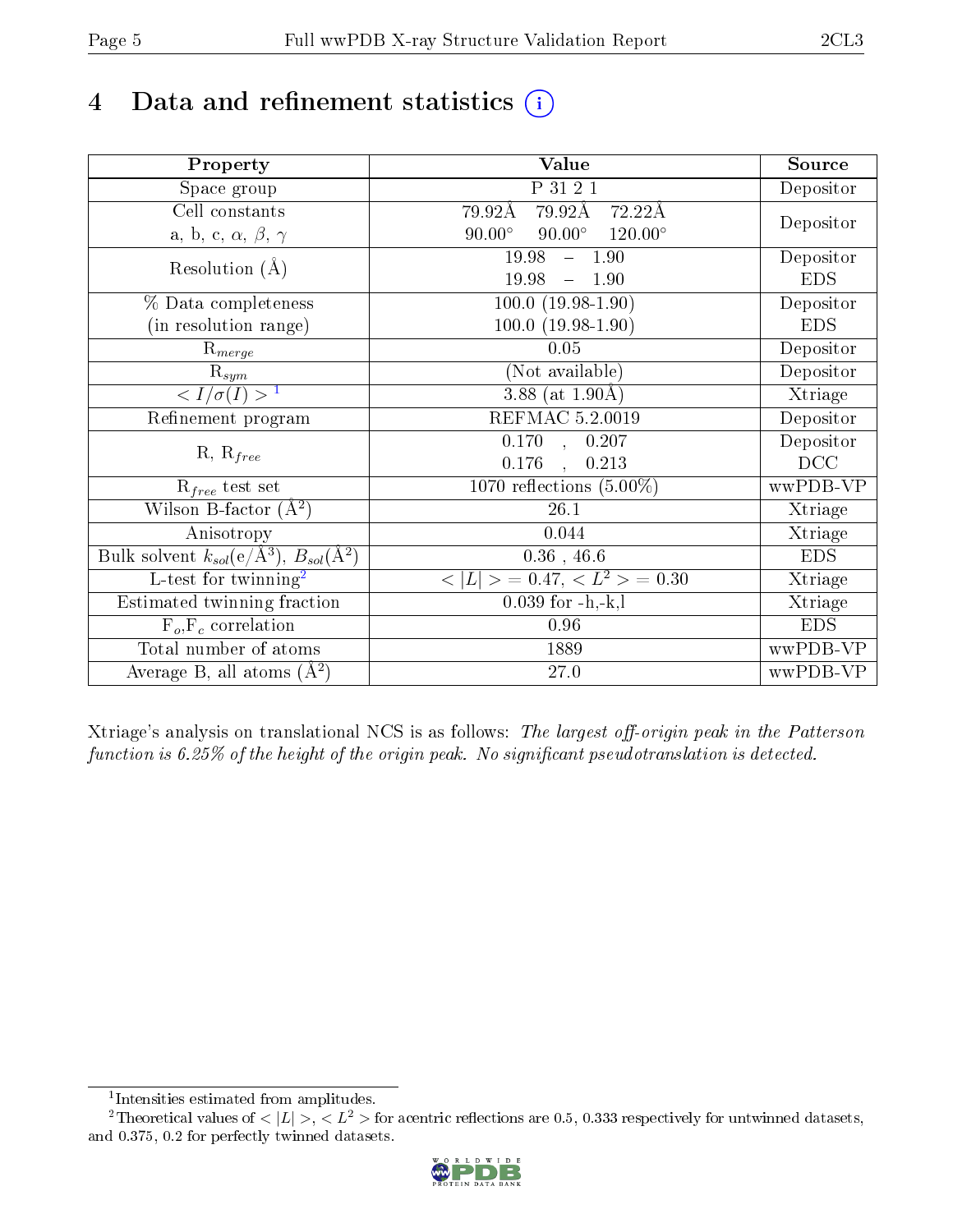# 4 Data and refinement statistics  $(i)$

| Property                                                         | <b>Value</b>                                     | Source     |
|------------------------------------------------------------------|--------------------------------------------------|------------|
| Space group                                                      | P 31 2 1                                         | Depositor  |
| Cell constants                                                   | 79.92Å 72.22Å<br>79.92Å                          |            |
| a, b, c, $\alpha$ , $\beta$ , $\gamma$                           | $90.00^\circ$<br>$90.00^\circ$<br>$120.00^\circ$ | Depositor  |
| Resolution $(A)$                                                 | 19.98<br>$-1.90$                                 | Depositor  |
|                                                                  | 19.98<br>$-1.90$                                 | <b>EDS</b> |
| % Data completeness                                              | $100.0(19.98-1.90)$                              | Depositor  |
| (in resolution range)                                            | $100.0 (19.98 - 1.90)$                           | <b>EDS</b> |
| $R_{merge}$                                                      | 0.05                                             | Depositor  |
| $\mathrm{R}_{sym}$                                               | (Not available)                                  | Depositor  |
| $\langle I/\sigma(I) \rangle^{-1}$                               | 3.88 (at $1.90\text{\AA}$ )                      | Xtriage    |
| Refinement program                                               | REFMAC 5.2.0019                                  | Depositor  |
|                                                                  | $\overline{0.170}$ ,<br>0.207                    | Depositor  |
| $R, R_{free}$                                                    | 0.176<br>0.213<br>$\ddot{\phantom{a}}$           | DCC        |
| $R_{free}$ test set                                              | 1070 reflections $(5.00\%)$                      | wwPDB-VP   |
| Wilson B-factor $(A^2)$                                          | 26.1                                             | Xtriage    |
| Anisotropy                                                       | 0.044                                            | Xtriage    |
| Bulk solvent $k_{sol}(\text{e}/\text{A}^3), B_{sol}(\text{A}^2)$ | $0.36$ , $46.6$                                  | <b>EDS</b> |
| $\overline{L-test for}$ twinning <sup>2</sup>                    | $< L >$ = 0.47, $< L2$ = 0.30                    | Xtriage    |
| Estimated twinning fraction                                      | $0.039$ for $-h,-k,l$                            | Xtriage    |
| $F_o, F_c$ correlation                                           | 0.96                                             | <b>EDS</b> |
| Total number of atoms                                            | 1889                                             | wwPDB-VP   |
| Average B, all atoms $(A^2)$                                     | 27.0                                             | wwPDB-VP   |

Xtriage's analysis on translational NCS is as follows: The largest off-origin peak in the Patterson function is  $6.25\%$  of the height of the origin peak. No significant pseudotranslation is detected.

<sup>&</sup>lt;sup>2</sup>Theoretical values of  $\langle |L| \rangle$ ,  $\langle L^2 \rangle$  for acentric reflections are 0.5, 0.333 respectively for untwinned datasets, and 0.375, 0.2 for perfectly twinned datasets.



<span id="page-4-1"></span><span id="page-4-0"></span><sup>1</sup> Intensities estimated from amplitudes.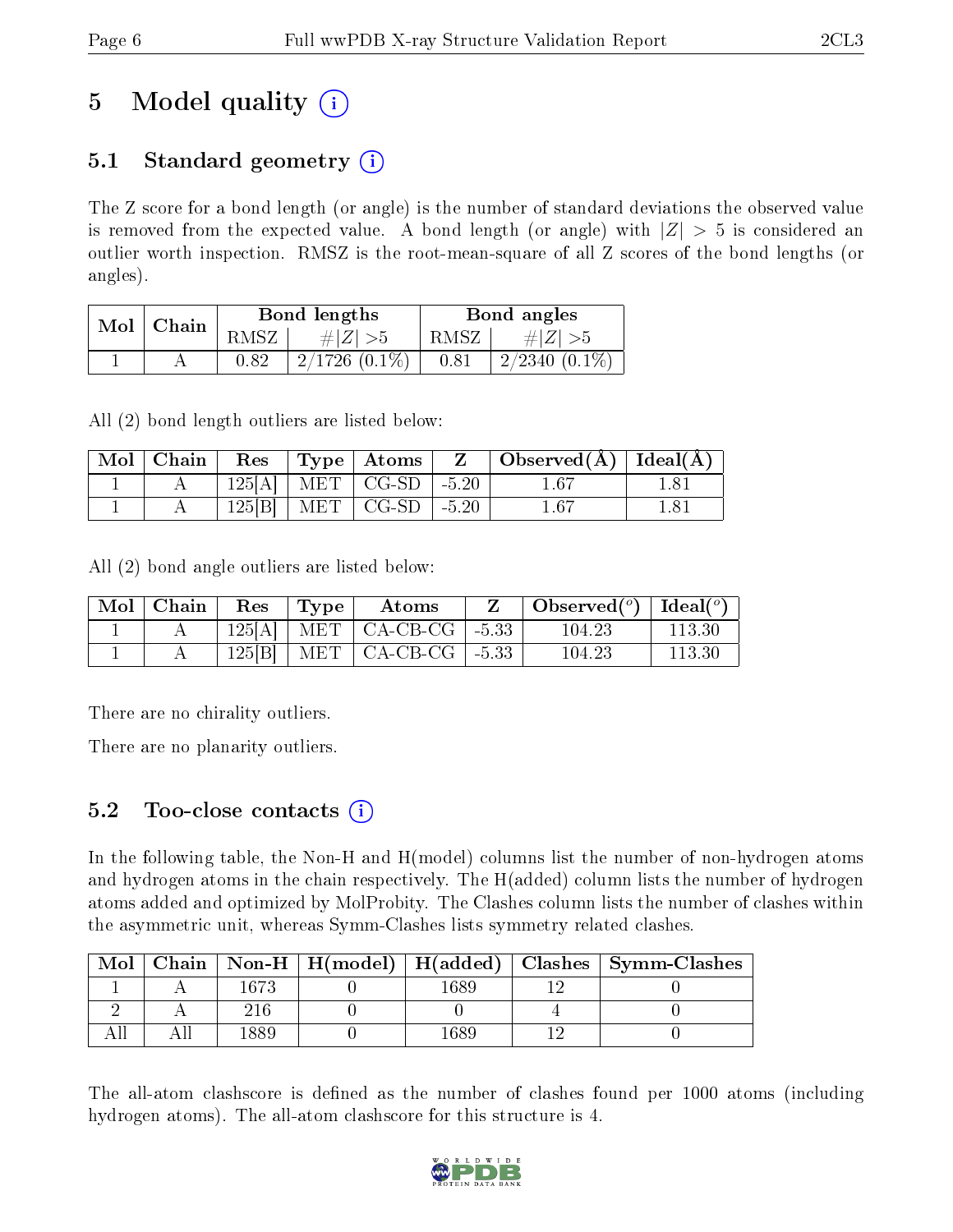## 5 Model quality  $(i)$

### 5.1 Standard geometry  $(i)$

The Z score for a bond length (or angle) is the number of standard deviations the observed value is removed from the expected value. A bond length (or angle) with  $|Z| > 5$  is considered an outlier worth inspection. RMSZ is the root-mean-square of all Z scores of the bond lengths (or angles).

| Mol | Chain |      | Bond lengths       | Bond angles |                 |  |
|-----|-------|------|--------------------|-------------|-----------------|--|
|     |       | RMSZ | $\# Z  > 5$        | RMSZ        | $\# Z  > 5$     |  |
|     |       | 0.82 | $2/1726$ $(0.1\%)$ | 0.81        | $2/2340(0.1\%)$ |  |

All (2) bond length outliers are listed below:

| Mol   Chain | $\operatorname{Res}% \left( \mathcal{N}\right) \equiv\operatorname{Res}(\mathcal{N}_{0},\mathcal{N}_{0})$ | $Type  $ Atoms         |         | $\mid$ Observed( $\rm \AA$ )   Ideal( $\rm \AA$ ) |      |
|-------------|-----------------------------------------------------------------------------------------------------------|------------------------|---------|---------------------------------------------------|------|
|             |                                                                                                           | $125[A]$   MET   CG-SD | $-5.20$ | $1.67\,$                                          |      |
|             | 125 B                                                                                                     | $+$ MET $+$ CG-SD $+$  | $-5.20$ | $1.67\,$                                          | 1.81 |

All (2) bond angle outliers are listed below:

| $\text{Mol} \parallel$ | Chain | $\operatorname{Res}% \left( \mathcal{N}\right) \equiv\operatorname{Res}(\mathcal{N}_{0},\mathcal{N}_{0})$ | Type | Atoms                              | Observed( $^{\circ}$ )   Ideal( $^{\circ}$ ) |        |
|------------------------|-------|-----------------------------------------------------------------------------------------------------------|------|------------------------------------|----------------------------------------------|--------|
|                        |       |                                                                                                           |      | $125[A]$   MET   CA-CB-CG   -5.33  | 104.23                                       | 113.30 |
|                        |       | 125[B]                                                                                                    |      | MET $\vert$ CA-CB-CG $\vert$ -5.33 | 104.23                                       | 113.30 |

There are no chirality outliers.

There are no planarity outliers.

### $5.2$  Too-close contacts  $(i)$

In the following table, the Non-H and H(model) columns list the number of non-hydrogen atoms and hydrogen atoms in the chain respectively. The H(added) column lists the number of hydrogen atoms added and optimized by MolProbity. The Clashes column lists the number of clashes within the asymmetric unit, whereas Symm-Clashes lists symmetry related clashes.

| Mol |      |      | Chain   Non-H   H(model)   H(added)   Clashes   Symm-Clashes |
|-----|------|------|--------------------------------------------------------------|
|     | 1673 | 1689 |                                                              |
|     |      |      |                                                              |
|     |      | -689 |                                                              |

The all-atom clashscore is defined as the number of clashes found per 1000 atoms (including hydrogen atoms). The all-atom clashscore for this structure is 4.

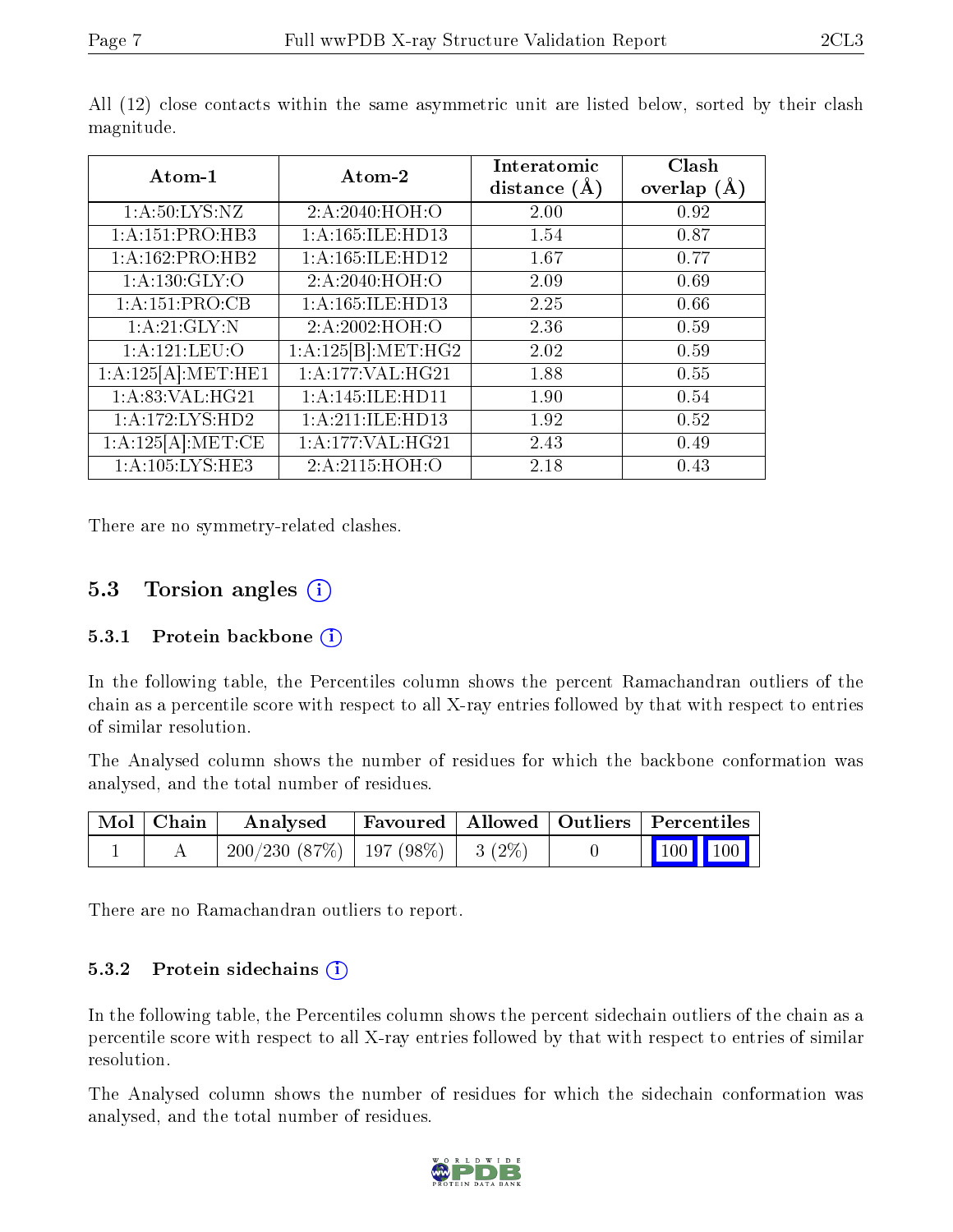| Atom-1                       | Atom-2              | Interatomic<br>distance $(\AA)$ | Clash<br>overlap $(\AA)$ |
|------------------------------|---------------------|---------------------------------|--------------------------|
| 1: A:50: LYS: NZ             | 2:A:2040:HOH:O      | 2.00                            | 0.92                     |
| $1:A:151:PRO:\overline{HB3}$ | 1:A:165:ILE:HD13    | 1.54                            | 0.87                     |
| 1:A:162:PRO:HB2              | 1:A:165:ILE:HD12    | 1.67                            | 0.77                     |
| 1: A: 130: GLY: O            | 2: A:2040:HOH:O     | 2.09                            | 0.69                     |
| 1:A:151:PRO:CB               | 1:A:165:ILE:HD13    | 2.25                            | 0.66                     |
| 1: A:21: GLY:N               | 2:A:2002:HOH:O      | 2.36                            | 0.59                     |
| 1: A: 121: LEU: O            | 1:A:125[B]:MET:HG2  | 2.02                            | 0.59                     |
| 1:A:125[A]:MET:HE1           | 1:A:177:VAL:HG21    | 1.88                            | 0.55                     |
| 1: A:83: VAL:HG21            | 1: A:145: ILE: HDI1 | 1.90                            | 0.54                     |
| 1:A:172:LYS:HD2              | 1:A:211:ILE:HD13    | 1.92                            | 0.52                     |
| 1:A:125[A]:MET:CE            | 1:A:177:VAL:HG21    | 2.43                            | 0.49                     |
| 1:A:105:LYS:HE3              | 2:A:2115:HOH:O      | 2.18                            | 0.43                     |

All (12) close contacts within the same asymmetric unit are listed below, sorted by their clash magnitude.

There are no symmetry-related clashes.

#### 5.3 Torsion angles (i)

#### 5.3.1 Protein backbone (i)

In the following table, the Percentiles column shows the percent Ramachandran outliers of the chain as a percentile score with respect to all X-ray entries followed by that with respect to entries of similar resolution.

The Analysed column shows the number of residues for which the backbone conformation was analysed, and the total number of residues.

| Mol   Chain | Analysed                                      |  | Favoured   Allowed   Outliers   Percentiles                |
|-------------|-----------------------------------------------|--|------------------------------------------------------------|
|             | $200/230$ $(87\%)$   197 $(98\%)$   3 $(2\%)$ |  | $\begin{array}{ c c c c }\n\hline\n100 & 100\n\end{array}$ |

There are no Ramachandran outliers to report.

#### 5.3.2 Protein sidechains  $(i)$

In the following table, the Percentiles column shows the percent sidechain outliers of the chain as a percentile score with respect to all X-ray entries followed by that with respect to entries of similar resolution.

The Analysed column shows the number of residues for which the sidechain conformation was analysed, and the total number of residues.

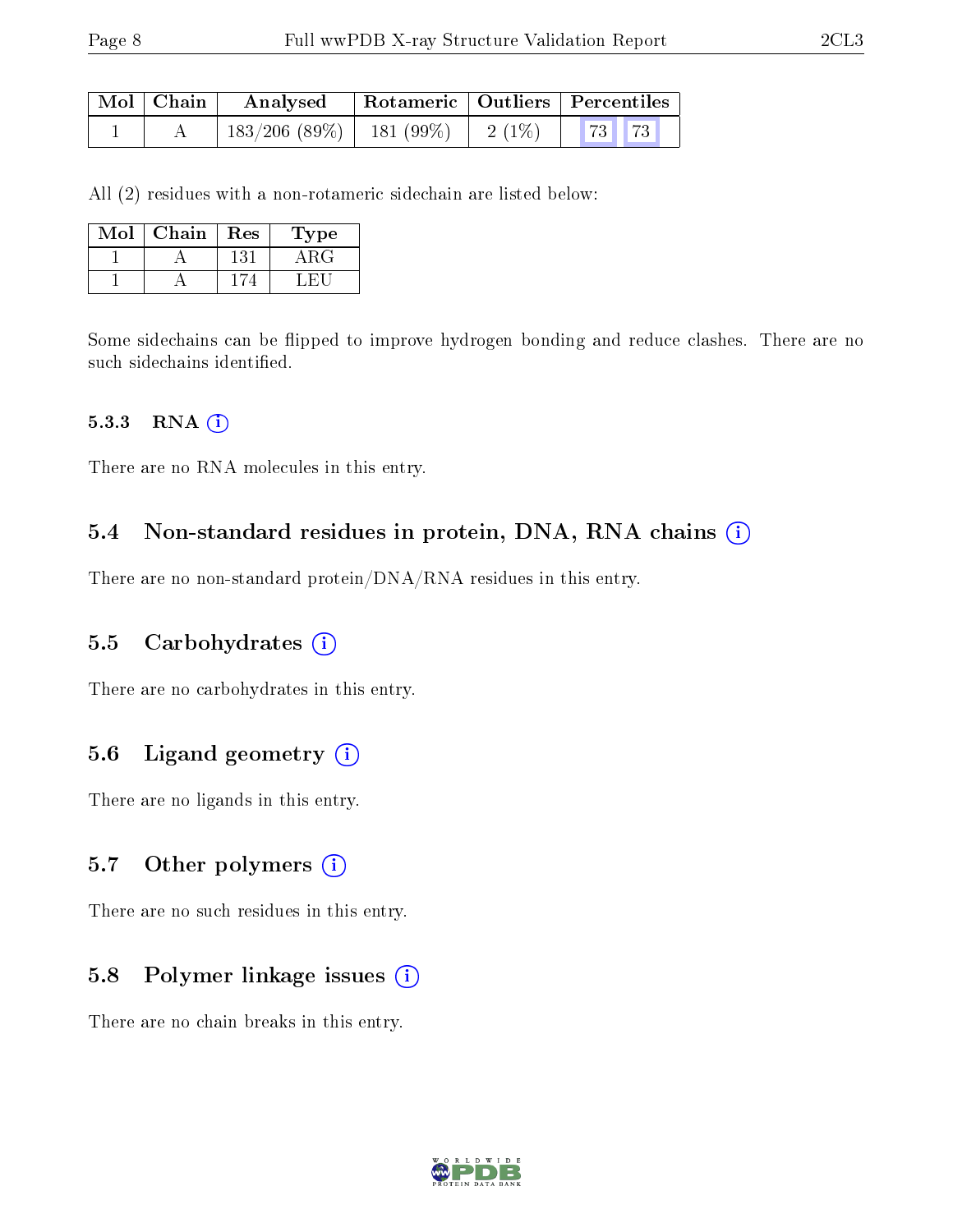| Mol   Chain | Analysed                      |  | Rotameric   Outliers   Percentiles |  |
|-------------|-------------------------------|--|------------------------------------|--|
|             | $183/206$ (89\%)   181 (99\%) |  |                                    |  |

All (2) residues with a non-rotameric sidechain are listed below:

| Mol | Chain | Res | Type  |
|-----|-------|-----|-------|
|     |       | 131 | 4 R.G |
|     |       |     |       |

Some sidechains can be flipped to improve hydrogen bonding and reduce clashes. There are no such sidechains identified.

#### 5.3.3 RNA  $(i)$

There are no RNA molecules in this entry.

#### 5.4 Non-standard residues in protein, DNA, RNA chains (i)

There are no non-standard protein/DNA/RNA residues in this entry.

#### 5.5 Carbohydrates  $(i)$

There are no carbohydrates in this entry.

### 5.6 Ligand geometry  $(i)$

There are no ligands in this entry.

#### 5.7 [O](https://www.wwpdb.org/validation/2017/XrayValidationReportHelp#nonstandard_residues_and_ligands)ther polymers  $(i)$

There are no such residues in this entry.

#### 5.8 Polymer linkage issues  $(i)$

There are no chain breaks in this entry.